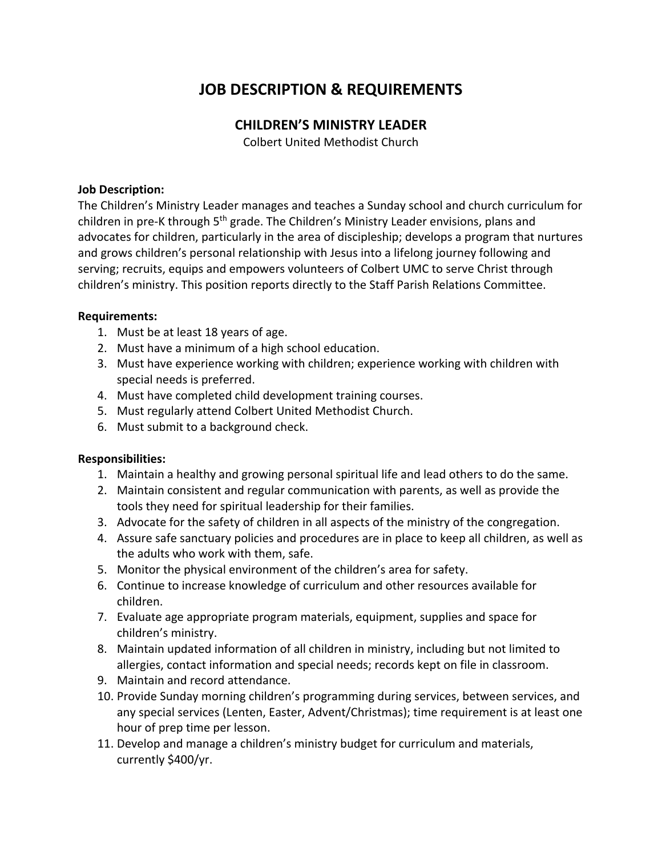# **JOB DESCRIPTION & REQUIREMENTS**

## **CHILDREN'S MINISTRY LEADER**

Colbert United Methodist Church

### **Job Description:**

The Children's Ministry Leader manages and teaches a Sunday school and church curriculum for children in pre-K through 5<sup>th</sup> grade. The Children's Ministry Leader envisions, plans and advocates for children, particularly in the area of discipleship; develops a program that nurtures and grows children's personal relationship with Jesus into a lifelong journey following and serving; recruits, equips and empowers volunteers of Colbert UMC to serve Christ through children's ministry. This position reports directly to the Staff Parish Relations Committee.

#### **Requirements:**

- 1. Must be at least 18 years of age.
- 2. Must have a minimum of a high school education.
- 3. Must have experience working with children; experience working with children with special needs is preferred.
- 4. Must have completed child development training courses.
- 5. Must regularly attend Colbert United Methodist Church.
- 6. Must submit to a background check.

### **Responsibilities:**

- 1. Maintain a healthy and growing personal spiritual life and lead others to do the same.
- 2. Maintain consistent and regular communication with parents, as well as provide the tools they need for spiritual leadership for their families.
- 3. Advocate for the safety of children in all aspects of the ministry of the congregation.
- 4. Assure safe sanctuary policies and procedures are in place to keep all children, as well as the adults who work with them, safe.
- 5. Monitor the physical environment of the children's area for safety.
- 6. Continue to increase knowledge of curriculum and other resources available for children.
- 7. Evaluate age appropriate program materials, equipment, supplies and space for children's ministry.
- 8. Maintain updated information of all children in ministry, including but not limited to allergies, contact information and special needs; records kept on file in classroom.
- 9. Maintain and record attendance.
- 10. Provide Sunday morning children's programming during services, between services, and any special services (Lenten, Easter, Advent/Christmas); time requirement is at least one hour of prep time per lesson.
- 11. Develop and manage a children's ministry budget for curriculum and materials, currently \$400/yr.